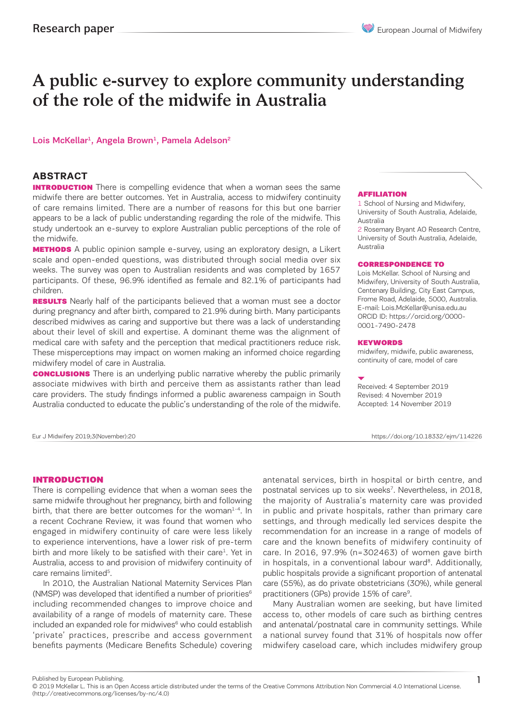# A public e-survey to explore community understanding of the role of the midwife in Australia

### Lois McKellar<sup>1</sup>, Angela Brown<sup>1</sup>, Pamela Adelson<sup>2</sup>

### **ABSTRACT**

**INTRODUCTION** There is compelling evidence that when a woman sees the same midwife there are better outcomes. Yet in Australia, access to midwifery continuity of care remains limited. There are a number of reasons for this but one barrier appears to be a lack of public understanding regarding the role of the midwife. This study undertook an e-survey to explore Australian public perceptions of the role of the midwife.

**METHODS** A public opinion sample e-survey, using an exploratory design, a Likert scale and open-ended questions, was distributed through social media over six weeks. The survey was open to Australian residents and was completed by 1657 participants. Of these, 96.9% identified as female and 82.1% of participants had children.

**RESULTS** Nearly half of the participants believed that a woman must see a doctor during pregnancy and after birth, compared to 21.9% during birth. Many participants described midwives as caring and supportive but there was a lack of understanding about their level of skill and expertise. A dominant theme was the alignment of medical care with safety and the perception that medical practitioners reduce risk. These misperceptions may impact on women making an informed choice regarding midwifery model of care in Australia.

**CONCLUSIONS** There is an underlying public narrative whereby the public primarily associate midwives with birth and perceive them as assistants rather than lead care providers. The study findings informed a public awareness campaign in South Australia conducted to educate the public's understanding of the role of the midwife.

#### AFFILIATION

1 School of Nursing and Midwifery, University of South Australia, Adelaide, Australia

2 Rosemary Bryant AO Research Centre, University of South Australia, Adelaide, Australia

#### CORRESPONDENCE TO

Lois McKellar. School of Nursing and Midwifery, University of South Australia, Centenary Building, City East Campus, Frome Road, Adelaide, 5000, Australia. E-mail: Lois.McKellar@unisa.edu.au ORCID ID: https://orcid.org/0000- 0001-7490-2478

#### KEYWORDS

midwifery, midwife, public awareness, continuity of care, model of care

Received: 4 September 2019 Revised: 4 November 2019 Accepted: 14 November 2019

Eur J Midwifery 2019;3(November):20 https://doi.org/10.18332/ejm/114226

#### INTRODUCTION

There is compelling evidence that when a woman sees the same midwife throughout her pregnancy, birth and following birth, that there are better outcomes for the woman $^{1-4}$ . In a recent Cochrane Review, it was found that women who engaged in midwifery continuity of care were less likely to experience interventions, have a lower risk of pre-term birth and more likely to be satisfied with their care<sup>1</sup>. Yet in Australia, access to and provision of midwifery continuity of care remains limited<sup>5</sup>.

In 2010, the Australian National Maternity Services Plan (NMSP) was developed that identified a number of priorities<sup>6</sup> including recommended changes to improve choice and availability of a range of models of maternity care. These included an expanded role for midwives<sup>6</sup> who could establish 'private' practices, prescribe and access government benefits payments (Medicare Benefits Schedule) covering antenatal services, birth in hospital or birth centre, and postnatal services up to six weeks<sup>7</sup>. Nevertheless, in 2018, the majority of Australia's maternity care was provided in public and private hospitals, rather than primary care settings, and through medically led services despite the recommendation for an increase in a range of models of care and the known benefits of midwifery continuity of care. In 2016, 97.9% (n=302463) of women gave birth in hospitals, in a conventional labour ward<sup>8</sup>. Additionally, public hospitals provide a significant proportion of antenatal care (55%), as do private obstetricians (30%), while general practitioners (GPs) provide 15% of care<sup>9</sup>.

Many Australian women are seeking, but have limited access to, other models of care such as birthing centres and antenatal/postnatal care in community settings. While a national survey found that 31% of hospitals now offer midwifery caseload care, which includes midwifery group

Published by European Publishing.

<sup>© 2019</sup> McKellar L. This is an Open Access article distributed under the terms of the Creative Commons Attribution Non Commercial 4.0 International License. (http://creativecommons.org/licenses/by-nc/4.0)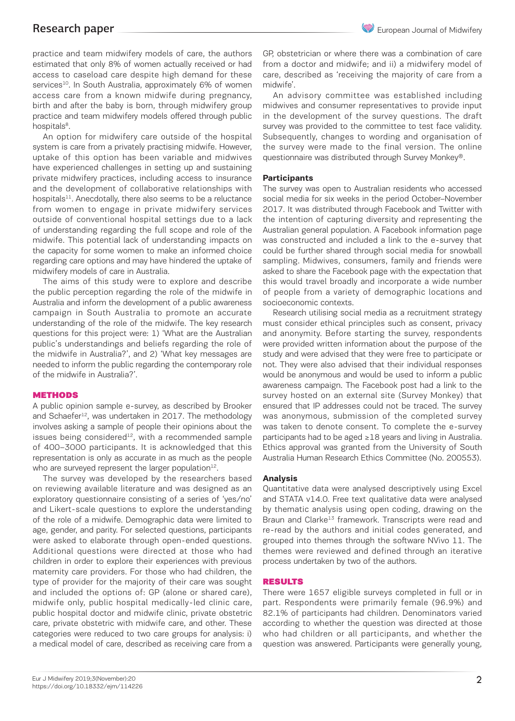practice and team midwifery models of care, the authors estimated that only 8% of women actually received or had access to caseload care despite high demand for these services<sup>10</sup>. In South Australia, approximately 6% of women access care from a known midwife during pregnancy, birth and after the baby is born, through midwifery group practice and team midwifery models offered through public hospitals<sup>8</sup>.

An option for midwifery care outside of the hospital system is care from a privately practising midwife. However, uptake of this option has been variable and midwives have experienced challenges in setting up and sustaining private midwifery practices, including access to insurance and the development of collaborative relationships with hospitals<sup>11</sup>. Anecdotally, there also seems to be a reluctance from women to engage in private midwifery services outside of conventional hospital settings due to a lack of understanding regarding the full scope and role of the midwife. This potential lack of understanding impacts on the capacity for some women to make an informed choice regarding care options and may have hindered the uptake of midwifery models of care in Australia.

The aims of this study were to explore and describe the public perception regarding the role of the midwife in Australia and inform the development of a public awareness campaign in South Australia to promote an accurate understanding of the role of the midwife. The key research questions for this project were: 1) 'What are the Australian public's understandings and beliefs regarding the role of the midwife in Australia?', and 2) 'What key messages are needed to inform the public regarding the contemporary role of the midwife in Australia?'.

### **METHODS**

A public opinion sample e-survey, as described by Brooker and Schaefer<sup>12</sup>, was undertaken in 2017. The methodology involves asking a sample of people their opinions about the issues being considered $12$ , with a recommended sample of 400–3000 participants. It is acknowledged that this representation is only as accurate in as much as the people who are surveyed represent the larger population $12$ .

The survey was developed by the researchers based on reviewing available literature and was designed as an exploratory questionnaire consisting of a series of 'yes/no' and Likert-scale questions to explore the understanding of the role of a midwife. Demographic data were limited to age, gender, and parity. For selected questions, participants were asked to elaborate through open-ended questions. Additional questions were directed at those who had children in order to explore their experiences with previous maternity care providers. For those who had children, the type of provider for the majority of their care was sought and included the options of: GP (alone or shared care), midwife only, public hospital medically-led clinic care, public hospital doctor and midwife clinic, private obstetric care, private obstetric with midwife care, and other. These categories were reduced to two care groups for analysis: i) a medical model of care, described as receiving care from a

GP, obstetrician or where there was a combination of care from a doctor and midwife; and ii) a midwifery model of care, described as 'receiving the majority of care from a midwife'.

An advisory committee was established including midwives and consumer representatives to provide input in the development of the survey questions. The draft survey was provided to the committee to test face validity. Subsequently, changes to wording and organisation of the survey were made to the final version. The online questionnaire was distributed through Survey Monkey®.

## **Participants**

The survey was open to Australian residents who accessed social media for six weeks in the period October–November 2017. It was distributed through Facebook and Twitter with the intention of capturing diversity and representing the Australian general population. A Facebook information page was constructed and included a link to the e-survey that could be further shared through social media for snowball sampling. Midwives, consumers, family and friends were asked to share the Facebook page with the expectation that this would travel broadly and incorporate a wide number of people from a variety of demographic locations and socioeconomic contexts.

Research utilising social media as a recruitment strategy must consider ethical principles such as consent, privacy and anonymity. Before starting the survey, respondents were provided written information about the purpose of the study and were advised that they were free to participate or not. They were also advised that their individual responses would be anonymous and would be used to inform a public awareness campaign. The Facebook post had a link to the survey hosted on an external site (Survey Monkey) that ensured that IP addresses could not be traced. The survey was anonymous, submission of the completed survey was taken to denote consent. To complete the e-survey participants had to be aged ≥18 years and living in Australia. Ethics approval was granted from the University of South Australia Human Research Ethics Committee (No. 200553).

### **Analysis**

Quantitative data were analysed descriptively using Excel and STATA v14.0. Free text qualitative data were analysed by thematic analysis using open coding, drawing on the Braun and Clarke<sup>13</sup> framework. Transcripts were read and re-read by the authors and initial codes generated, and grouped into themes through the software NVivo 11. The themes were reviewed and defined through an iterative process undertaken by two of the authors.

### RESULTS

There were 1657 eligible surveys completed in full or in part. Respondents were primarily female (96.9%) and 82.1% of participants had children. Denominators varied according to whether the question was directed at those who had children or all participants, and whether the question was answered. Participants were generally young,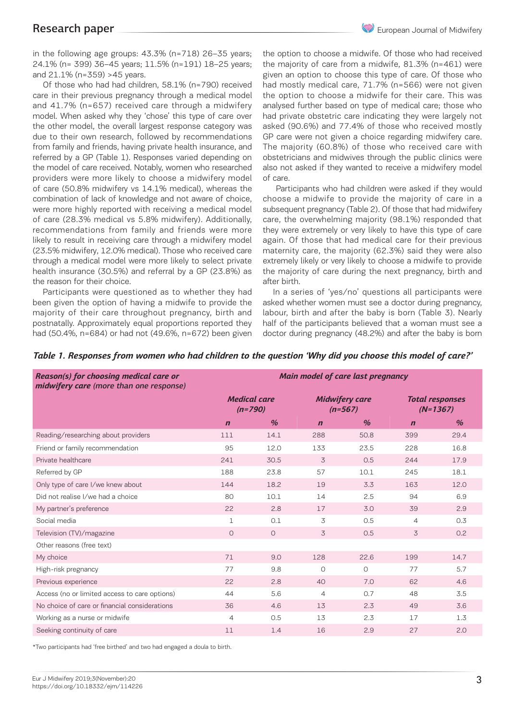in the following age groups: 43.3% (n=718) 26–35 years; 24.1% (n= 399) 36–45 years; 11.5% (n=191) 18–25 years; and 21.1% (n=359) >45 years.

Of those who had had children, 58.1% (n=790) received care in their previous pregnancy through a medical model and 41.7% (n=657) received care through a midwifery model. When asked why they 'chose' this type of care over the other model, the overall largest response category was due to their own research, followed by recommendations from family and friends, having private health insurance, and referred by a GP (Table 1). Responses varied depending on the model of care received. Notably, women who researched providers were more likely to choose a midwifery model of care (50.8% midwifery vs 14.1% medical), whereas the combination of lack of knowledge and not aware of choice, were more highly reported with receiving a medical model of care (28.3% medical vs 5.8% midwifery). Additionally, recommendations from family and friends were more likely to result in receiving care through a midwifery model (23.5% midwifery, 12.0% medical). Those who received care through a medical model were more likely to select private health insurance (30.5%) and referral by a GP (23.8%) as the reason for their choice.

Participants were questioned as to whether they had been given the option of having a midwife to provide the majority of their care throughout pregnancy, birth and postnatally. Approximately equal proportions reported they had (50.4%, n=684) or had not (49.6%, n=672) been given

the option to choose a midwife. Of those who had received the majority of care from a midwife, 81.3% (n=461) were given an option to choose this type of care. Of those who had mostly medical care, 71.7% (n=566) were not given the option to choose a midwife for their care. This was analysed further based on type of medical care; those who had private obstetric care indicating they were largely not asked (90.6%) and 77.4% of those who received mostly GP care were not given a choice regarding midwifery care. The majority (60.8%) of those who received care with obstetricians and midwives through the public clinics were also not asked if they wanted to receive a midwifery model of care.

 Participants who had children were asked if they would choose a midwife to provide the majority of care in a subsequent pregnancy (Table 2). Of those that had midwifery care, the overwhelming majority (98.1%) responded that they were extremely or very likely to have this type of care again. Of those that had medical care for their previous maternity care, the majority (62.3%) said they were also extremely likely or very likely to choose a midwife to provide the majority of care during the next pregnancy, birth and after birth.

In a series of 'yes/no' questions all participants were asked whether women must see a doctor during pregnancy, labour, birth and after the baby is born (Table 3). Nearly half of the participants believed that a woman must see a doctor during pregnancy (48.2%) and after the baby is born

| Reason(s) for choosing medical care or<br>midwifery care (more than one response) | Main model of care last pregnancy |         |                                    |               |                                      |      |  |  |  |
|-----------------------------------------------------------------------------------|-----------------------------------|---------|------------------------------------|---------------|--------------------------------------|------|--|--|--|
|                                                                                   | <b>Medical care</b><br>$(n=790)$  |         | <b>Midwifery care</b><br>$(n=567)$ |               | <b>Total responses</b><br>$(N=1367)$ |      |  |  |  |
|                                                                                   | $\%$<br>$\mathbf n$               |         | $\mathbf n$                        | $\frac{1}{2}$ | $\mathbf n$                          | $\%$ |  |  |  |
| Reading/researching about providers                                               | 111                               | 14.1    | 288                                | 50.8          | 399                                  | 29.4 |  |  |  |
| Friend or family recommendation                                                   | 95                                | 12.0    | 133                                | 23.5          | 228                                  | 16.8 |  |  |  |
| Private healthcare                                                                | 241                               | 30.5    | 3                                  | 0.5           | 244                                  | 17.9 |  |  |  |
| Referred by GP                                                                    | 188                               | 23.8    | 57                                 | 10.1          | 245                                  | 18.1 |  |  |  |
| Only type of care I/we knew about                                                 | 144                               | 18.2    | 19                                 | 3.3           | 163                                  | 12.0 |  |  |  |
| Did not realise I/we had a choice                                                 | 80                                | 10.1    | 14                                 | 2.5           | 94                                   | 6.9  |  |  |  |
| My partner's preference                                                           | 22                                | 2.8     | 17                                 | 3.0           | 39                                   | 2.9  |  |  |  |
| Social media                                                                      | $\mathbf{1}$                      | 0.1     | 3                                  | 0.5           | $\overline{4}$                       | 0.3  |  |  |  |
| Television (TV)/magazine                                                          | $\circ$                           | $\circ$ | 3                                  | 0.5           | 3                                    | 0.2  |  |  |  |
| Other reasons (free text)                                                         |                                   |         |                                    |               |                                      |      |  |  |  |
| My choice                                                                         | 71                                | 9.0     | 128                                | 22.6          | 199                                  | 14.7 |  |  |  |
| High-risk pregnancy                                                               | 77                                | 9.8     | $\circ$                            | $\circ$       | 77                                   | 5.7  |  |  |  |
| Previous experience                                                               | 22                                | 2.8     | 40                                 | 7.0           | 62                                   | 4.6  |  |  |  |
| Access (no or limited access to care options)                                     | 44                                | 5.6     | $\overline{4}$                     | 0.7           | 48                                   | 3.5  |  |  |  |
| No choice of care or financial considerations                                     | 36                                | 4.6     | 13                                 | 2.3           | 49                                   | 3.6  |  |  |  |
| Working as a nurse or midwife                                                     | $\overline{4}$                    | 0.5     | 13                                 | 2.3           | 17                                   | 1.3  |  |  |  |
| Seeking continuity of care                                                        | 11                                | 1.4     | 16                                 | 2.9           | 27                                   | 2.0  |  |  |  |

## *Table 1. Responses from women who had children to the question 'Why did you choose this model of care?'*

\*Two participants had 'free birthed' and two had engaged a doula to birth.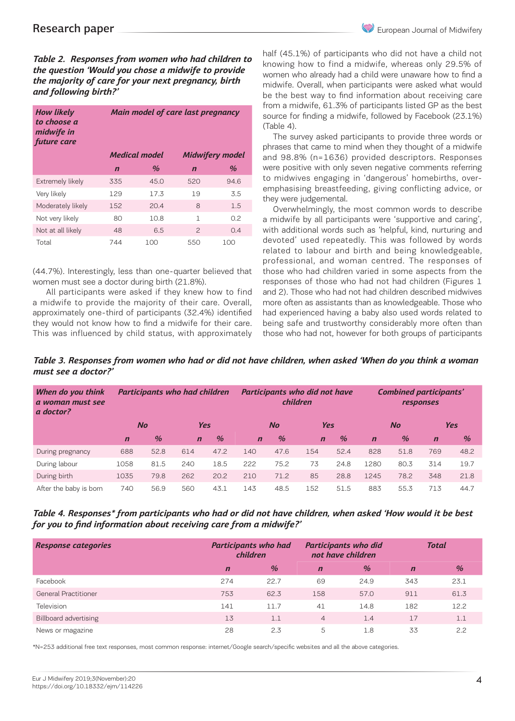*Table 2. Responses from women who had children to the question 'Would you chose a midwife to provide the majority of care for your next pregnancy, birth and following birth?'*

| <b>How likely</b><br>to choose a<br>midwife in<br>future care |             | Main model of care last pregnancy |                        |               |  |  |  |  |  |
|---------------------------------------------------------------|-------------|-----------------------------------|------------------------|---------------|--|--|--|--|--|
|                                                               |             | <b>Medical model</b>              | <b>Midwifery model</b> |               |  |  |  |  |  |
|                                                               | $\mathbf n$ | $\%$                              | $\mathbf n$            | $\frac{a}{2}$ |  |  |  |  |  |
| Extremely likely                                              | 335         | 45.0                              | 520                    | 94.6          |  |  |  |  |  |
| Very likely                                                   | 129         | 17.3                              | 1.9                    | 3.5           |  |  |  |  |  |
| Moderately likely                                             | 152         | 20.4                              | 8                      | 1.5           |  |  |  |  |  |
| Not very likely                                               | 80          | 10.8                              | 1                      | 0.2           |  |  |  |  |  |
| Not at all likely                                             | 48          | 6.5                               | $\mathcal{P}$          | 04            |  |  |  |  |  |
| Total                                                         | 744         | 100                               | 550                    | 100           |  |  |  |  |  |

(44.7%). Interestingly, less than one-quarter believed that women must see a doctor during birth (21.8%).

 All participants were asked if they knew how to find a midwife to provide the majority of their care. Overall, approximately one-third of participants (32.4%) identified they would not know how to find a midwife for their care. This was influenced by child status, with approximately half (45.1%) of participants who did not have a child not knowing how to find a midwife, whereas only 29.5% of women who already had a child were unaware how to find a midwife. Overall, when participants were asked what would be the best way to find information about receiving care from a midwife, 61.3% of participants listed GP as the best source for finding a midwife, followed by Facebook (23.1%) (Table 4).

The survey asked participants to provide three words or phrases that came to mind when they thought of a midwife and 98.8% (n=1636) provided descriptors. Responses were positive with only seven negative comments referring to midwives engaging in 'dangerous' homebirths, overemphasising breastfeeding, giving conflicting advice, or they were judgemental.

Overwhelmingly, the most common words to describe a midwife by all participants were 'supportive and caring', with additional words such as 'helpful, kind, nurturing and devoted' used repeatedly. This was followed by words related to labour and birth and being knowledgeable, professional, and woman centred. The responses of those who had children varied in some aspects from the responses of those who had not had children (Figures 1 and 2). Those who had not had children described midwives more often as assistants than as knowledgeable. Those who had experienced having a baby also used words related to being safe and trustworthy considerably more often than those who had not, however for both groups of participants

*Table 3. Responses from women who had or did not have children, when asked 'When do you think a woman must see a doctor?'* 

| When do you think<br>a woman must see<br>a doctor? | Participants who had children |               |             | Participants who did not have<br>children |             |               |             | <b>Combined participants'</b><br>responses |             |               |             |               |  |
|----------------------------------------------------|-------------------------------|---------------|-------------|-------------------------------------------|-------------|---------------|-------------|--------------------------------------------|-------------|---------------|-------------|---------------|--|
|                                                    |                               | No            | <b>Yes</b>  |                                           | <b>No</b>   |               |             | <b>Yes</b>                                 |             | <b>No</b>     |             | <b>Yes</b>    |  |
|                                                    | $\mathbf n$                   | $\frac{1}{2}$ | $\mathbf n$ | $\frac{1}{2}$                             | $\mathbf n$ | $\frac{0}{0}$ | $\mathbf n$ | $\frac{1}{2}$                              | $\mathbf n$ | $\frac{9}{6}$ | $\mathbf n$ | $\frac{0}{0}$ |  |
| During pregnancy                                   | 688                           | 52.8          | 614         | 47.2                                      | 140         | 47.6          | 154         | 52.4                                       | 828         | 51.8          | 769         | 48.2          |  |
| During labour                                      | 1058                          | 81.5          | 240         | 18.5                                      | 222         | 75.2          | 73          | 24.8                                       | 1280        | 80.3          | 314         | 19.7          |  |
| During birth                                       | 1035                          | 79.8          | 262         | 20.2                                      | 210         | 71.2          | 85          | 28.8                                       | 1245        | 78.2          | 348         | 21.8          |  |
| After the baby is born                             | 740                           | 56.9          | 560         | 43.1                                      | 143         | 48.5          | 152         | 51.5                                       | 883         | 55.3          | 713         | 44.7          |  |

*Table 4. Responses\* from participants who had or did not have children, when asked 'How would it be best for you to find information about receiving care from a midwife?'*

| <b>Response categories</b>   | <b>Participants who had</b><br>children |      |                | <b>Participants who did</b><br>not have children | Total          |      |  |
|------------------------------|-----------------------------------------|------|----------------|--------------------------------------------------|----------------|------|--|
|                              | $\mathbf n$                             | $\%$ | $\mathbf n$    | $\frac{9}{6}$                                    | $\overline{r}$ | $\%$ |  |
| Facebook                     | 274                                     | 22.7 | 69             | 24.9                                             | 343            | 23.1 |  |
| <b>General Practitioner</b>  | 753                                     | 62.3 | 158            | 57.0                                             | 911            | 61.3 |  |
| Television                   | 141                                     | 11.7 | 41             | 14.8                                             | 182            | 12.2 |  |
| <b>Billboard advertising</b> | 13                                      | 1.1  | $\overline{4}$ | 1.4                                              | 17             | 1.1  |  |
| News or magazine             | 28                                      | 2.3  | 5              | 1.8                                              | 33             | 2.2  |  |

\*N=253 additional free text responses, most common response: internet/Google search/specific websites and all the above categories.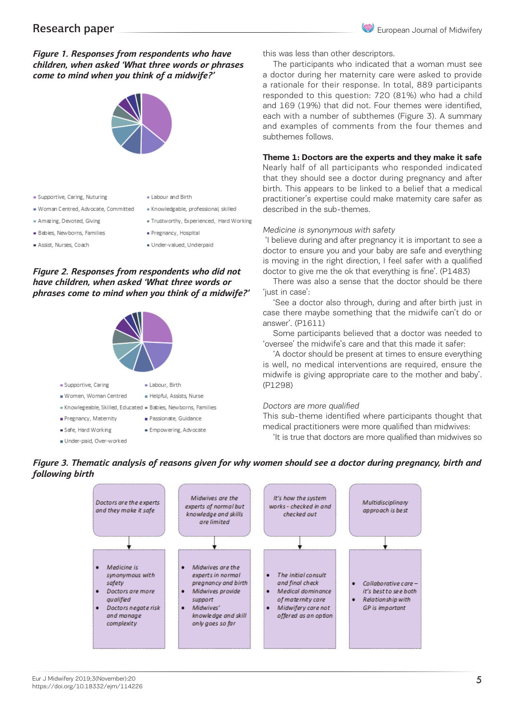## *Figure 1. Responses from respondents who have children, when asked 'What three words or phrases come to mind when you think of a midwife?'*



- = Supportive, Caring, Nuturing
	-
- Amazing, Devoted, Giving
- 
- Woman Centred, Advocate, Committed
- **Babies**, Newborns, Families

Assist, Nurses, Coach

- Knowledgable, professional, skilled
- · Trustworthy, Experienced, Hard Working
	- · Pregnancy, Hospital
	- Under-valued, Underpaid

## *Figure 2. Responses from respondents who did not have children, when asked 'What three words or phrases come to mind when you think of a midwife?'*



. Labour and Birth

this was less than other descriptors.

The participants who indicated that a woman must see a doctor during her maternity care were asked to provide a rationale for their response. In total, 889 participants responded to this question: 720 (81%) who had a child and 169 (19%) that did not. Four themes were identified, each with a number of subthemes (Figure 3). A summary and examples of comments from the four themes and subthemes follows.

### **Theme 1: Doctors are the experts and they make it safe**

Nearly half of all participants who responded indicated that they should see a doctor during pregnancy and after birth. This appears to be linked to a belief that a medical practitioner's expertise could make maternity care safer as described in the sub-themes.

#### Medicine is synonymous with safety

 'I believe during and after pregnancy it is important to see a doctor to ensure you and your baby are safe and everything is moving in the right direction, I feel safer with a qualified doctor to give me the ok that everything is fine'. (P1483)

There was also a sense that the doctor should be there 'just in case':

'See a doctor also through, during and after birth just in case there maybe something that the midwife can't do or answer'. (P1611)

Some participants believed that a doctor was needed to 'oversee' the midwife's care and that this made it safer:

'A doctor should be present at times to ensure everything is well, no medical interventions are required, ensure the midwife is giving appropriate care to the mother and baby'. (P1298)

#### Doctors are more qualified

This sub-theme identified where participants thought that medical practitioners were more qualified than midwives:

'It is true that doctors are more qualified than midwives so



## *Figure 3. Thematic analysis of reasons given for why women should see a doctor during pregnancy, birth and following birth*

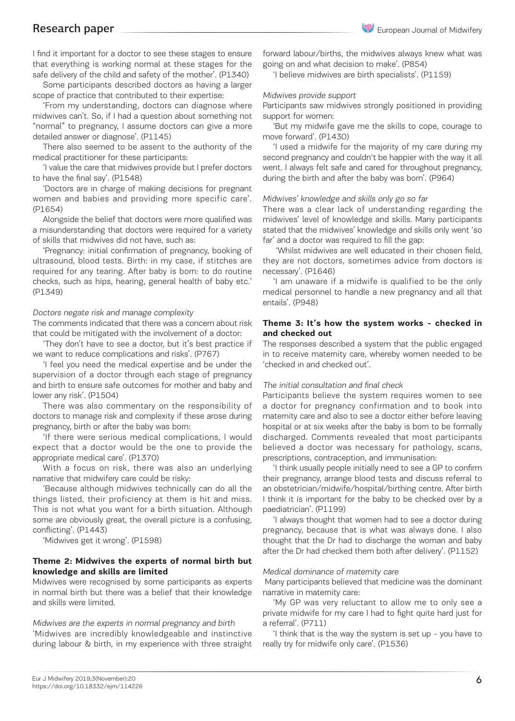I find it important for a doctor to see these stages to ensure that everything is working normal at these stages for the safe delivery of the child and safety of the mother'. (P1340)

Some participants described doctors as having a larger scope of practice that contributed to their expertise:

'From my understanding, doctors can diagnose where midwives can't. So, if I had a question about something not "normal" to pregnancy, I assume doctors can give a more detailed answer or diagnose'. (P1145)

There also seemed to be assent to the authority of the medical practitioner for these participants:

'I value the care that midwives provide but I prefer doctors to have the final say'. (P1548)

'Doctors are in charge of making decisions for pregnant women and babies and providing more specific care'. (P1654)

Alongside the belief that doctors were more qualified was a misunderstanding that doctors were required for a variety of skills that midwives did not have, such as:

'Pregnancy: initial confirmation of pregnancy, booking of ultrasound, blood tests. Birth: in my case, if stitches are required for any tearing. After baby is born: to do routine checks, such as hips, hearing, general health of baby etc.' (P1349)

#### Doctors negate risk and manage complexity

The comments indicated that there was a concern about risk that could be mitigated with the involvement of a doctor:

'They don't have to see a doctor, but it's best practice if we want to reduce complications and risks'. (P767)

'I feel you need the medical expertise and be under the supervision of a doctor through each stage of pregnancy and birth to ensure safe outcomes for mother and baby and lower any risk'. (P1504)

There was also commentary on the responsibility of doctors to manage risk and complexity if these arose during pregnancy, birth or after the baby was born:

'If there were serious medical complications, I would expect that a doctor would be the one to provide the appropriate medical care'. (P1370)

With a focus on risk, there was also an underlying narrative that midwifery care could be risky:

'Because although midwives technically can do all the things listed, their proficiency at them is hit and miss. This is not what you want for a birth situation. Although some are obviously great, the overall picture is a confusing, conflicting'. (P1443)

'Midwives get it wrong'. (P1598)

#### **Theme 2: Midwives the experts of normal birth but knowledge and skills are limited**

Midwives were recognised by some participants as experts in normal birth but there was a belief that their knowledge and skills were limited.

Midwives are the experts in normal pregnancy and birth 'Midwives are incredibly knowledgeable and instinctive during labour & birth, in my experience with three straight forward labour/births, the midwives always knew what was going on and what decision to make'. (P854)

'I believe midwives are birth specialists'. (P1159)

#### Midwives provide support

Participants saw midwives strongly positioned in providing support for women:

'But my midwife gave me the skills to cope, courage to move forward'. (P1430)

'I used a midwife for the majority of my care during my second pregnancy and couldn't be happier with the way it all went. I always felt safe and cared for throughout pregnancy, during the birth and after the baby was born'. (P964)

#### Midwives' knowledge and skills only go so far

There was a clear lack of understanding regarding the midwives' level of knowledge and skills. Many participants stated that the midwives' knowledge and skills only went 'so far' and a doctor was required to fill the gap:

 'Whilst midwives are well educated in their chosen field, they are not doctors, sometimes advice from doctors is necessary'. (P1646)

'I am unaware if a midwife is qualified to be the only medical personnel to handle a new pregnancy and all that entails'. (P948)

#### **Theme 3: It's how the system works - checked in and checked out**

The responses described a system that the public engaged in to receive maternity care, whereby women needed to be 'checked in and checked out'.

#### The initial consultation and final check

Participants believe the system requires women to see a doctor for pregnancy confirmation and to book into maternity care and also to see a doctor either before leaving hospital or at six weeks after the baby is born to be formally discharged. Comments revealed that most participants believed a doctor was necessary for pathology, scans, prescriptions, contraception, and immunisation:

'I think usually people initially need to see a GP to confirm their pregnancy, arrange blood tests and discuss referral to an obstetrician/midwife/hospital/birthing centre. After birth I think it is important for the baby to be checked over by a paediatrician'. (P1199)

'I always thought that women had to see a doctor during pregnancy, because that is what was always done. I also thought that the Dr had to discharge the woman and baby after the Dr had checked them both after delivery'. (P1152)

#### Medical dominance of maternity care

 Many participants believed that medicine was the dominant narrative in maternity care:

'My GP was very reluctant to allow me to only see a private midwife for my care I had to fight quite hard just for a referral'. (P711)

'I think that is the way the system is set up - you have to really try for midwife only care'. (P1536)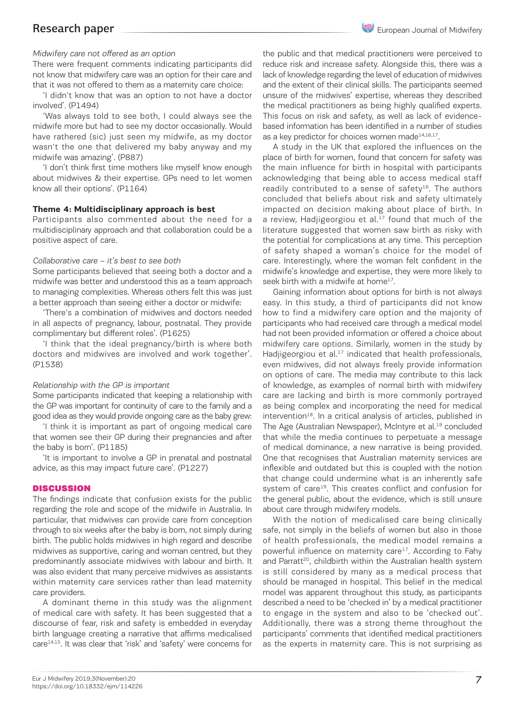There were frequent comments indicating participants did not know that midwifery care was an option for their care and that it was not offered to them as a maternity care choice:

'I didn't know that was an option to not have a doctor involved'. (P1494)

'Was always told to see both, I could always see the midwife more but had to see my doctor occasionally. Would have rathered (sic) just seen my midwife, as my doctor wasn't the one that delivered my baby anyway and my midwife was amazing'. (P887)

'I don't think first time mothers like myself know enough about midwives & their expertise. GPs need to let women know all their options'. (P1164)

#### **Theme 4: Multidisciplinary approach is best**

Participants also commented about the need for a multidisciplinary approach and that collaboration could be a positive aspect of care.

#### Collaborative care – it's best to see both

Some participants believed that seeing both a doctor and a midwife was better and understood this as a team approach to managing complexities. Whereas others felt this was just a better approach than seeing either a doctor or midwife:

'There's a combination of midwives and doctors needed in all aspects of pregnancy, labour, postnatal. They provide complimentary but different roles'. (P1625)

'I think that the ideal pregnancy/birth is where both doctors and midwives are involved and work together'. (P1538)

#### Relationship with the GP is important

Some participants indicated that keeping a relationship with the GP was important for continuity of care to the family and a good idea as they would provide ongoing care as the baby grew:

'I think it is important as part of ongoing medical care that women see their GP during their pregnancies and after the baby is born'. (P1185)

'It is important to involve a GP in prenatal and postnatal advice, as this may impact future care'. (P1227)

#### **DISCUSSION**

The findings indicate that confusion exists for the public regarding the role and scope of the midwife in Australia. In particular, that midwives can provide care from conception through to six weeks after the baby is born, not simply during birth. The public holds midwives in high regard and describe midwives as supportive, caring and woman centred, but they predominantly associate midwives with labour and birth. It was also evident that many perceive midwives as assistants within maternity care services rather than lead maternity care providers.

A dominant theme in this study was the alignment of medical care with safety. It has been suggested that a discourse of fear, risk and safety is embedded in everyday birth language creating a narrative that affirms medicalised care<sup>14,15</sup>. It was clear that 'risk' and 'safety' were concerns for

the public and that medical practitioners were perceived to reduce risk and increase safety. Alongside this, there was a lack of knowledge regarding the level of education of midwives and the extent of their clinical skills. The participants seemed unsure of the midwives' expertise, whereas they described the medical practitioners as being highly qualified experts. This focus on risk and safety, as well as lack of evidencebased information has been identified in a number of studies as a key predictor for choices women made $14,16,17$ .

A study in the UK that explored the influences on the place of birth for women, found that concern for safety was the main influence for birth in hospital with participants acknowledging that being able to access medical staff readily contributed to a sense of safety $16$ . The authors concluded that beliefs about risk and safety ultimately impacted on decision making about place of birth. In a review, Hadjigeorgiou et al. $^{17}$  found that much of the literature suggested that women saw birth as risky with the potential for complications at any time. This perception of safety shaped a woman's choice for the model of care. Interestingly, where the woman felt confident in the midwife's knowledge and expertise, they were more likely to seek birth with a midwife at home<sup>17</sup>.

Gaining information about options for birth is not always easy. In this study, a third of participants did not know how to find a midwifery care option and the majority of participants who had received care through a medical model had not been provided information or offered a choice about midwifery care options. Similarly, women in the study by Hadjigeorgiou et al. $17$  indicated that health professionals, even midwives, did not always freely provide information on options of care. The media may contribute to this lack of knowledge, as examples of normal birth with midwifery care are lacking and birth is more commonly portrayed as being complex and incorporating the need for medical intervention<sup>18</sup>. In a critical analysis of articles, published in The Age (Australian Newspaper), McIntyre et al.<sup>19</sup> concluded that while the media continues to perpetuate a message of medical dominance, a new narrative is being provided. One that recognises that Australian maternity services are inflexible and outdated but this is coupled with the notion that change could undermine what is an inherently safe system of care<sup>19</sup>. This creates conflict and confusion for the general public, about the evidence, which is still unsure about care through midwifery models.

With the notion of medicalised care being clinically safe, not simply in the beliefs of women but also in those of health professionals, the medical model remains a powerful influence on maternity care<sup>17</sup>. According to Fahy and Parratt<sup>20</sup>, childbirth within the Australian health system is still considered by many as a medical process that should be managed in hospital. This belief in the medical model was apparent throughout this study, as participants described a need to be 'checked in' by a medical practitioner to engage in the system and also to be 'checked out'. Additionally, there was a strong theme throughout the participants' comments that identified medical practitioners as the experts in maternity care. This is not surprising as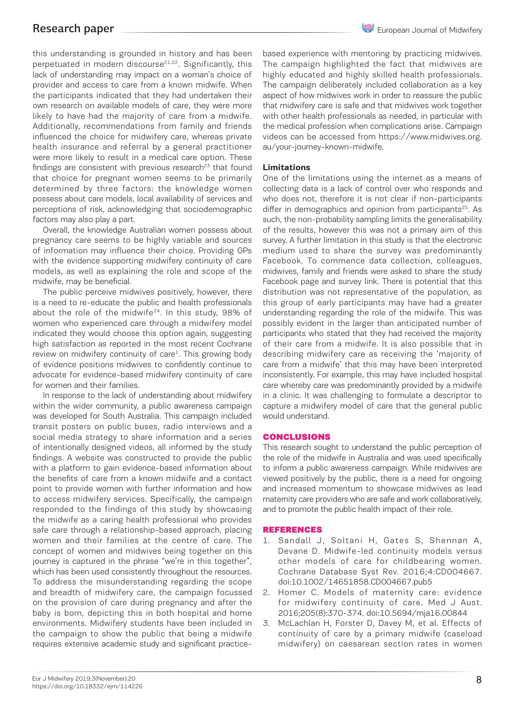this understanding is grounded in history and has been perpetuated in modern discourse<sup>21,22</sup>. Significantly, this lack of understanding may impact on a woman's choice of provider and access to care from a known midwife. When the participants indicated that they had undertaken their own research on available models of care, they were more likely to have had the majority of care from a midwife. Additionally, recommendations from family and friends influenced the choice for midwifery care, whereas private health insurance and referral by a general practitioner were more likely to result in a medical care option. These findings are consistent with previous research<sup>23</sup> that found that choice for pregnant women seems to be primarily determined by three factors: the knowledge women possess about care models, local availability of services and perceptions of risk, acknowledging that sociodemographic factors may also play a part.

Overall, the knowledge Australian women possess about pregnancy care seems to be highly variable and sources of information may influence their choice. Providing GPs with the evidence supporting midwifery continuity of care models, as well as explaining the role and scope of the midwife, may be beneficial.

The public perceive midwives positively, however, there is a need to re-educate the public and health professionals about the role of the midwife $24$ . In this study, 98% of women who experienced care through a midwifery model indicated they would choose this option again, suggesting high satisfaction as reported in the most recent Cochrane review on midwifery continuity of care<sup>1</sup>. This growing body of evidence positions midwives to confidently continue to advocate for evidence-based midwifery continuity of care for women and their families.

In response to the lack of understanding about midwifery within the wider community, a public awareness campaign was developed for South Australia. This campaign included transit posters on public buses, radio interviews and a social media strategy to share information and a series of intentionally designed videos, all informed by the study findings. A website was constructed to provide the public with a platform to gain evidence-based information about the benefits of care from a known midwife and a contact point to provide women with further information and how to access midwifery services. Specifically, the campaign responded to the findings of this study by showcasing the midwife as a caring health professional who provides safe care through a relationship-based approach, placing women and their families at the centre of care. The concept of women and midwives being together on this journey is captured in the phrase "we're in this together", which has been used consistently throughout the resources. To address the misunderstanding regarding the scope and breadth of midwifery care, the campaign focussed on the provision of care during pregnancy and after the baby is born, depicting this in both hospital and home environments. Midwifery students have been included in the campaign to show the public that being a midwife requires extensive academic study and significant practicebased experience with mentoring by practicing midwives. The campaign highlighted the fact that midwives are highly educated and highly skilled health professionals. The campaign deliberately included collaboration as a key aspect of how midwives work in order to reassure the public that midwifery care is safe and that midwives work together with other health professionals as needed, in particular with the medical profession when complications arise. Campaign videos can be accessed from https://www.midwives.org. au/your-journey-known-midwife.

#### **Limitations**

One of the limitations using the internet as a means of collecting data is a lack of control over who responds and who does not, therefore it is not clear if non-participants differ in demographics and opinion from participants<sup>25</sup>. As such, the non-probability sampling limits the generalisability of the results, however this was not a primary aim of this survey. A further limitation in this study is that the electronic medium used to share the survey was predominantly Facebook. To commence data collection, colleagues, midwives, family and friends were asked to share the study Facebook page and survey link. There is potential that this distribution was not representative of the population, as this group of early participants may have had a greater understanding regarding the role of the midwife. This was possibly evident in the larger than anticipated number of participants who stated that they had received the majority of their care from a midwife. It is also possible that in describing midwifery care as receiving the 'majority of care from a midwife' that this may have been interpreted inconsistently. For example, this may have included hospital care whereby care was predominantly provided by a midwife in a clinic. It was challenging to formulate a descriptor to capture a midwifery model of care that the general public would understand.

#### CONCLUSIONS

This research sought to understand the public perception of the role of the midwife in Australia and was used specifically to inform a public awareness campaign. While midwives are viewed positively by the public, there is a need for ongoing and increased momentum to showcase midwives as lead maternity care providers who are safe and work collaboratively, and to promote the public health impact of their role.

#### REFERENCES

- 1. Sandall J, Soltani H, Gates S, Shennan A, Devane D. Midwife-led continuity models versus other models of care for childbearing women. Cochrane Database Syst Rev. 2016;4:CD004667. doi:10.1002/14651858.CD004667.pub5
- 2. Homer C. Models of maternity care: evidence for midwifery continuity of care. Med J Aust. 2016;205(8):370-374. doi:10.5694/mja16.00844
- 3. McLachlan H, Forster D, Davey M, et al. Effects of continuity of care by a primary midwife (caseload midwifery) on caesarean section rates in women